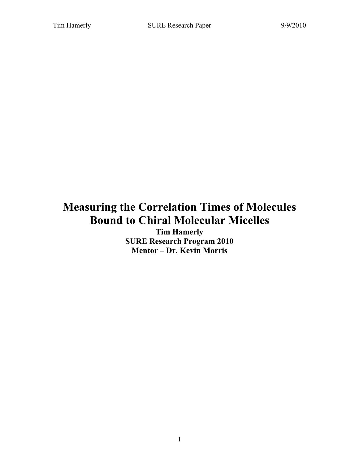# **Measuring the Correlation Times of Molecules Bound to Chiral Molecular Micelles**

**Tim Hamerly SURE Research Program 2010 Mentor – Dr. Kevin Morris**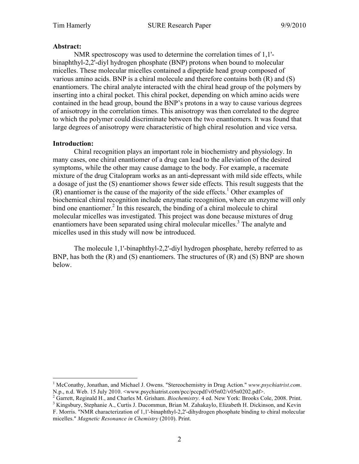#### **Abstract:**

NMR spectroscopy was used to determine the correlation times of 1,1' binaphthyl-2,2'-diyl hydrogen phosphate (BNP) protons when bound to molecular micelles. These molecular micelles contained a dipeptide head group composed of various amino acids. BNP is a chiral molecule and therefore contains both  $(R)$  and  $(S)$ enantiomers. The chiral analyte interacted with the chiral head group of the polymers by inserting into a chiral pocket. This chiral pocket, depending on which amino acids were contained in the head group, bound the BNP's protons in a way to cause various degrees of anisotropy in the correlation times. This anisotropy was then correlated to the degree to which the polymer could discriminate between the two enantiomers. It was found that large degrees of anisotropy were characteristic of high chiral resolution and vice versa.

### **Introduction:**

Chiral recognition plays an important role in biochemistry and physiology. In many cases, one chiral enantiomer of a drug can lead to the alleviation of the desired symptoms, while the other may cause damage to the body. For example, a racemate mixture of the drug Citalopram works as an anti-depressant with mild side effects, while a dosage of just the (S) enantiomer shows fewer side effects. This result suggests that the  $(R)$  enantiomer is the cause of the majority of the side effects.<sup>1</sup> Other examples of biochemical chiral recognition include enzymatic recognition, where an enzyme will only bind one enantiomer.<sup>2</sup> In this research, the binding of a chiral molecule to chiral molecular micelles was investigated. This project was done because mixtures of drug enantiomers have been separated using chiral molecular micelles.<sup>3</sup> The analyte and micelles used in this study will now be introduced.

The molecule 1,1'-binaphthyl-2,2'-diyl hydrogen phosphate, hereby referred to as BNP, has both the (R) and (S) enantiomers. The structures of (R) and (S) BNP are shown below.

 $\frac{1}{1}$ <sup>1</sup> McConathy, Jonathan, and Michael J. Owens. "Stereochemistry in Drug Action." *www.psychiatrist.com.* 

N.p., n.d. Web. 15 July 2010. <www.psychiatrist.com/pcc/pccpdf/v05n02/v05n0202.pdf>.<br><sup>2</sup> Garrett, Reginald H., and Charles M. Grisham. *Biochemistry*. 4 ed. New York: Brooks Cole, 2008. Print.

<sup>&</sup>lt;sup>3</sup> Kingsbury, Stephanie A., Curtis J. Ducommun, Brian M. Zahakaylo, Elizabeth H. Dickinson, and Kevin F. Morris. "NMR characterization of 1,1'-binaphthyl-2,2'-dihydrogen phosphate binding to chiral molecular micelles." *Magnetic Resonance in Chemistry* (2010). Print.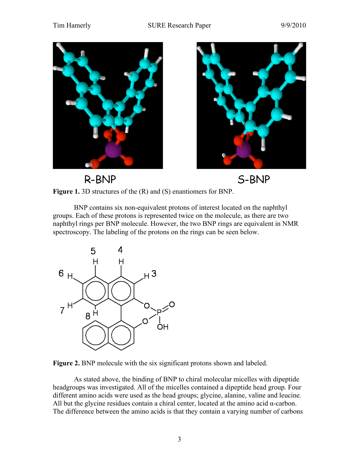



R-BNP





BNP contains six non-equivalent protons of interest located on the naphthyl groups. Each of these protons is represented twice on the molecule, as there are two naphthyl rings per BNP molecule. However, the two BNP rings are equivalent in NMR spectroscopy. The labeling of the protons on the rings can be seen below.





As stated above, the binding of BNP to chiral molecular micelles with dipeptide headgroups was investigated. All of the micelles contained a dipeptide head group. Four different amino acids were used as the head groups; glycine, alanine, valine and leucine. All but the glycine residues contain a chiral center, located at the amino acid  $\alpha$ -carbon. The difference between the amino acids is that they contain a varying number of carbons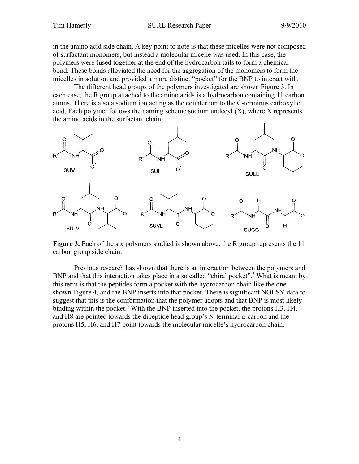in the amino acid side chain. A key point to note is that these micelles were not composed of surfactant monomers, but instead a molecular micelle was used. In this case, the polymers were fused together at the end of the hydrocarbon tails to form a chemical bond. These bonds alleviated the need for the aggregation of the monomers to form the micelles in solution and provided a more distinct "pocket" for the BNP to interact with.

The different head groups of the polymers investigated are shown Figure 3. In each case, the R group attached to the amino acids is a hydrocarbon containing 11 carbon atoms. There is also a sodium ion acting as the counter ion to the C-terminus carboxylic acid. Each polymer follows the naming scheme sodium undecyl  $(X)$ , where X represents the amino acids in the surfactant chain.



**Figure 3.** Each of the six polymers studied is shown above, the R group represents the 11 carbon group side chain.

Previous research has shown that there is an interaction between the polymers and BNP and that this interaction takes place in a so called "chiral pocket".<sup>3</sup> What is meant by this term is that the peptides form a pocket with the hydrocarbon chain like the one shown Figure 4, and the BNP inserts into that pocket. There is significant NOESY data to suggest that this is the conformation that the polymer adopts and that BNP is most likely binding within the pocket.<sup>3</sup> With the BNP inserted into the pocket, the protons H3, H4, and H8 are pointed towards the dipeptide head group's N-terminal  $\alpha$ -carbon and the protons H5, H6, and H7 point towards the molecular micelle's hydrocarbon chain.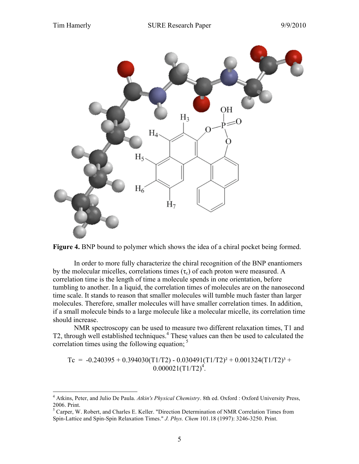



In order to more fully characterize the chiral recognition of the BNP enantiomers by the molecular micelles, correlations times  $(\tau_c)$  of each proton were measured. A correlation time is the length of time a molecule spends in one orientation, before tumbling to another. In a liquid, the correlation times of molecules are on the nanosecond time scale. It stands to reason that smaller molecules will tumble much faster than larger molecules. Therefore, smaller molecules will have smaller correlation times. In addition, if a small molecule binds to a large molecule like a molecular micelle, its correlation time should increase.

NMR spectroscopy can be used to measure two different relaxation times, T1 and T2, through well established techniques.<sup>4</sup> These values can then be used to calculated the correlation times using the following equation;  $5$ 

Tc =  $-0.240395 + 0.394030(T1/T2) - 0.030491(T1/T2)^{2} + 0.001324(T1/T2)^{3} +$  $0.000021(T1/T2)^4$ .

 <sup>4</sup> Atkins, Peter, and Julio De Paula. *Atkin's Physical Chemistry*. 8th ed. Oxford : Oxford University Press, 2006. Print.

<sup>&</sup>lt;sup>5</sup> Carper, W. Robert, and Charles E. Keller. "Direction Determination of NMR Correlation Times from Spin-Lattice and Spin-Spin Relaxation Times." *J. Phys. Chem* 101.18 (1997): 3246-3250. Print.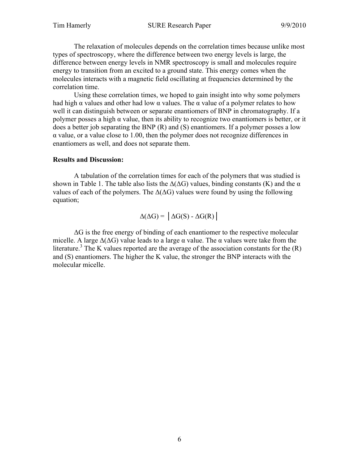The relaxation of molecules depends on the correlation times because unlike most types of spectroscopy, where the difference between two energy levels is large, the difference between energy levels in NMR spectroscopy is small and molecules require energy to transition from an excited to a ground state. This energy comes when the molecules interacts with a magnetic field oscillating at frequencies determined by the correlation time.

Using these correlation times, we hoped to gain insight into why some polymers had high  $\alpha$  values and other had low  $\alpha$  values. The  $\alpha$  value of a polymer relates to how well it can distinguish between or separate enantiomers of BNP in chromatography. If a polymer posses a high  $\alpha$  value, then its ability to recognize two enantiomers is better, or it does a better job separating the BNP (R) and (S) enantiomers. If a polymer posses a low  $\alpha$  value, or a value close to 1.00, then the polymer does not recognize differences in enantiomers as well, and does not separate them.

### **Results and Discussion:**

A tabulation of the correlation times for each of the polymers that was studied is shown in Table 1. The table also lists the  $\Delta(\Delta G)$  values, binding constants (K) and the  $\alpha$ values of each of the polymers. The  $\Delta(\Delta G)$  values were found by using the following equation;

 $\Delta(\Delta G) = |\Delta G(S) - \Delta G(R)|$ 

 $\Delta G$  is the free energy of binding of each enantiomer to the respective molecular micelle. A large  $\Delta(\Delta G)$  value leads to a large  $\alpha$  value. The  $\alpha$  values were take from the literature.<sup>3</sup> The K values reported are the average of the association constants for the  $(R)$ and (S) enantiomers. The higher the K value, the stronger the BNP interacts with the molecular micelle.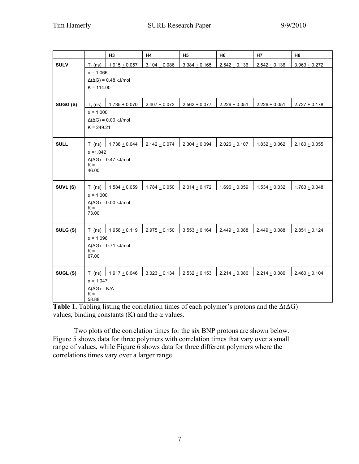|             |                                           | H <sub>3</sub>  | H4                | H <sub>5</sub>  | H <sub>6</sub>    | H7              | H <sub>8</sub>    |
|-------------|-------------------------------------------|-----------------|-------------------|-----------------|-------------------|-----------------|-------------------|
| <b>SULV</b> | $T_c$ (ns)                                | $1.915 + 0.057$ | $3.104 + 0.086$   | $3.384 + 0.165$ | $2.542 + 0.136$   | $2.542 + 0.136$ | $3.063 + 0.272$   |
|             | $\alpha = 1.066$                          |                 |                   |                 |                   |                 |                   |
|             | $\Delta(\Delta G) = 0.48$ kJ/mol          |                 |                   |                 |                   |                 |                   |
|             | $K = 114.00$                              |                 |                   |                 |                   |                 |                   |
|             |                                           |                 |                   |                 |                   |                 |                   |
| SUGG (S)    | $T_c$ (ns)                                | $1.735 + 0.070$ | $2.407 + 0.073$   | $2.562 + 0.077$ | $2.226 \pm 0.051$ | $2.226 + 0.051$ | $2.727 + 0.178$   |
|             | $\alpha = 1.000$                          |                 |                   |                 |                   |                 |                   |
|             | $\Delta(\Delta G) = 0.00$ kJ/mol          |                 |                   |                 |                   |                 |                   |
|             | $K = 249.21$                              |                 |                   |                 |                   |                 |                   |
| <b>SULL</b> | $T_c$ (ns)                                | $1.738 + 0.044$ | $2.142 + 0.074$   | $2.304 + 0.094$ | $2.026 + 0.107$   | $1.832 + 0.062$ | $2.180 + 0.055$   |
|             | $\alpha = 1.042$                          |                 |                   |                 |                   |                 |                   |
|             | $\Delta(\Delta G) = 0.47$ kJ/mol          |                 |                   |                 |                   |                 |                   |
|             | $K =$<br>46.00                            |                 |                   |                 |                   |                 |                   |
|             |                                           |                 |                   |                 |                   |                 |                   |
| SUVL (S)    | $T_c$ (ns)                                | $1.584 + 0.059$ | $1.784 + 0.050$   | $2.014 + 0.172$ | $1.696 + 0.059$   | $1.534 + 0.032$ | $1.783 + 0.048$   |
|             | $\alpha = 1.000$                          |                 |                   |                 |                   |                 |                   |
|             | $\Delta(\Delta G) = 0.00$ kJ/mol<br>$K =$ |                 |                   |                 |                   |                 |                   |
|             | 73.00                                     |                 |                   |                 |                   |                 |                   |
|             |                                           |                 |                   |                 |                   |                 |                   |
| SULG (S)    | $T_c$ (ns)                                | $1.956 + 0.119$ | $2.975 \pm 0.150$ | $3.553 + 0.164$ | $2.449 + 0.088$   | $2.449 + 0.088$ | $2.851 + 0.124$   |
|             | $\alpha = 1.096$                          |                 |                   |                 |                   |                 |                   |
|             | $\Delta(\Delta G) = 0.71$ kJ/mol<br>$K =$ |                 |                   |                 |                   |                 |                   |
|             | 67.00                                     |                 |                   |                 |                   |                 |                   |
|             |                                           |                 |                   |                 |                   |                 |                   |
| SUGL (S)    | $T_c$ (ns)                                | $1.917 + 0.046$ | $3.023 \pm 0.134$ | $2.532 + 0.153$ | $2.214 \pm 0.086$ | $2.214 + 0.086$ | $2.460 \pm 0.104$ |
|             | $\alpha = 1.047$                          |                 |                   |                 |                   |                 |                   |
|             | $\Delta(\Delta G) = N/A$<br>$K =$         |                 |                   |                 |                   |                 |                   |
|             | 58.88                                     |                 |                   |                 |                   |                 |                   |

**Table 1.** Tabling listing the correlation times of each polymer's protons and the  $\Delta(\Delta G)$ values, binding constants  $(K)$  and the  $\alpha$  values.

Two plots of the correlation times for the six BNP protons are shown below. Figure 5 shows data for three polymers with correlation times that vary over a small range of values, while Figure 6 shows data for three different polymers where the correlations times vary over a larger range.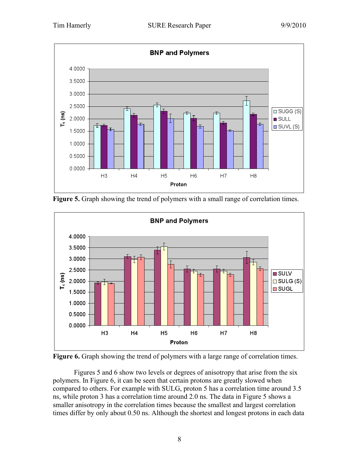

**Figure 5.** Graph showing the trend of polymers with a small range of correlation times.





Figures 5 and 6 show two levels or degrees of anisotropy that arise from the six polymers. In Figure 6, it can be seen that certain protons are greatly slowed when compared to others. For example with SULG, proton 5 has a correlation time around 3.5 ns, while proton 3 has a correlation time around 2.0 ns. The data in Figure 5 shows a smaller anisotropy in the correlation times because the smallest and largest correlation times differ by only about 0.50 ns. Although the shortest and longest protons in each data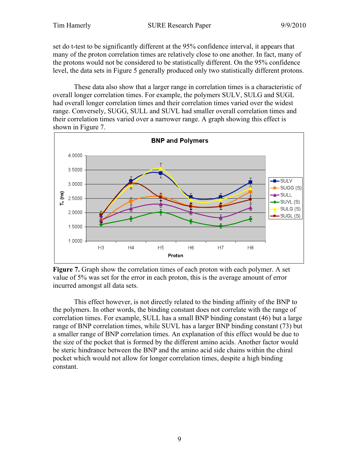set do t-test to be significantly different at the 95% confidence interval, it appears that many of the proton correlation times are relatively close to one another. In fact, many of the protons would not be considered to be statistically different. On the 95% confidence level, the data sets in Figure 5 generally produced only two statistically different protons.

These data also show that a larger range in correlation times is a characteristic of overall longer correlation times. For example, the polymers SULV, SULG and SUGL had overall longer correlation times and their correlation times varied over the widest range. Conversely, SUGG, SULL and SUVL had smaller overall correlation times and their correlation times varied over a narrower range. A graph showing this effect is shown in Figure 7.



**Figure 7.** Graph show the correlation times of each proton with each polymer. A set value of 5% was set for the error in each proton, this is the average amount of error incurred amongst all data sets.

This effect however, is not directly related to the binding affinity of the BNP to the polymers. In other words, the binding constant does not correlate with the range of correlation times. For example, SULL has a small BNP binding constant (46) but a large range of BNP correlation times, while SUVL has a larger BNP binding constant (73) but a smaller range of BNP correlation times. An explanation of this effect would be due to the size of the pocket that is formed by the different amino acids. Another factor would be steric hindrance between the BNP and the amino acid side chains within the chiral pocket which would not allow for longer correlation times, despite a high binding constant.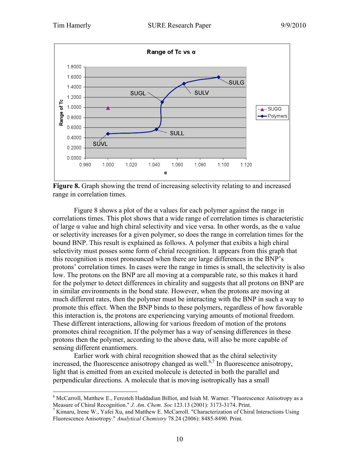

**Figure 8.** Graph showing the trend of increasing selectivity relating to and increased range in correlation times.

Figure 8 shows a plot of the  $\alpha$  values for each polymer against the range in correlations times. This plot shows that a wide range of correlation times is characteristic of large  $\alpha$  value and high chiral selectivity and vice versa. In other words, as the  $\alpha$  value or selectivity increases for a given polymer, so does the range in correlation times for the bound BNP. This result is explained as follows. A polymer that exibits a high chiral selectivity must posses some form of chrial recognition. It appears from this graph that this recognition is most pronounced when there are large differences in the BNP's protons' correlation times. In cases were the range in times is small, the selectivity is also low. The protons on the BNP are all moving at a comparable rate, so this makes it hard for the polymer to detect differences in chirality and suggests that all protons on BNP are in similar environments in the bond state. However, when the protons are moving at much different rates, then the polymer must be interacting with the BNP in such a way to promote this effect. When the BNP binds to these polymers, regardless of how favorable this interaction is, the protons are experiencing varying amounts of motional freedom. These different interactions, allowing for various freedom of motion of the protons promotes chiral recognition. If the polymer has a way of sensing differences in these protons then the polymer, according to the above data, will also be more capable of sensing different enantiomers.

Earlier work with chiral recognition showed that as the chiral selectivity increased, the fluorescence anisotropy changed as well.<sup>6,7</sup> In fluorescence anisotropy, light that is emitted from an excited molecule is detected in both the parallel and perpendicular directions. A molecule that is moving isotropically has a small

 $\frac{1}{6}$  $6$  McCarroll, Matthew E., Feresteh Haddadian Billiot, and Isiah M. Warner. "Fluorescence Anisotropy as a Measure of Chiral Recognition." *J. Am. Chem. Soc* 123.13 (2001): 3173-3174. Print. <sup>7</sup>

<sup>&</sup>lt;sup>7</sup> Kimaru, Irene W., Yafei Xu, and Matthew E. McCarroll. "Characterization of Chiral Interactions Using Fluorescence Anisotropy." *Analytical Chemistry* 78.24 (2006): 8485-8490. Print.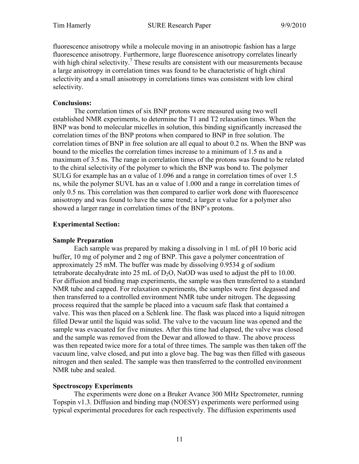fluorescence anisotropy while a molecule moving in an anisotropic fashion has a large fluorescence anisotropy. Furthermore, large fluorescence anisotropy correlates linearly with high chiral selectivity.<sup>7</sup> These results are consistent with our measurements because a large anisotropy in correlation times was found to be characteristic of high chiral selectivity and a small anisotropy in correlations times was consistent with low chiral selectivity.

## **Conclusions:**

The correlation times of six BNP protons were measured using two well established NMR experiments, to determine the T1 and T2 relaxation times. When the BNP was bond to molecular micelles in solution, this binding significantly increased the correlation times of the BNP protons when compared to BNP in free solution. The correlation times of BNP in free solution are all equal to about 0.2 ns. When the BNP was bound to the micelles the correlation times increase to a minimum of 1.5 ns and a maximum of 3.5 ns. The range in correlation times of the protons was found to be related to the chiral selectivity of the polymer to which the BNP was bond to. The polymer SULG for example has an  $\alpha$  value of 1.096 and a range in correlation times of over 1.5 ns, while the polymer SUVL has an  $\alpha$  value of 1.000 and a range in correlation times of only 0.5 ns. This correlation was then compared to earlier work done with fluorescence anisotropy and was found to have the same trend; a larger  $\alpha$  value for a polymer also showed a larger range in correlation times of the BNP's protons.

# **Experimental Section:**

### **Sample Preparation**

Each sample was prepared by making a dissolving in 1 mL of pH 10 boric acid buffer, 10 mg of polymer and 2 mg of BNP. This gave a polymer concentration of approximately 25 mM. The buffer was made by dissolving 0.9534 g of sodium tetraborate decahydrate into 25 mL of  $D_2O$ , NaOD was used to adjust the pH to 10.00. For diffusion and binding map experiments, the sample was then transferred to a standard NMR tube and capped. For relaxation experiments, the samples were first degassed and then transferred to a controlled environment NMR tube under nitrogen. The degassing process required that the sample be placed into a vacuum safe flask that contained a valve. This was then placed on a Schlenk line. The flask was placed into a liquid nitrogen filled Dewar until the liquid was solid. The valve to the vacuum line was opened and the sample was evacuated for five minutes. After this time had elapsed, the valve was closed and the sample was removed from the Dewar and allowed to thaw. The above process was then repeated twice more for a total of three times. The sample was then taken off the vacuum line, valve closed, and put into a glove bag. The bag was then filled with gaseous nitrogen and then sealed. The sample was then transferred to the controlled environment NMR tube and sealed.

# **Spectroscopy Experiments**

The experiments were done on a Bruker Avance 300 MHz Spectrometer, running Topspin v1.3. Diffusion and binding map (NOESY) experiments were performed using typical experimental procedures for each respectively. The diffusion experiments used